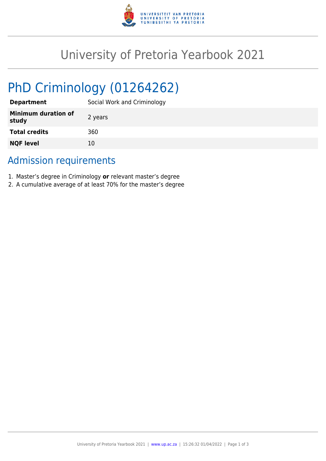

# University of Pretoria Yearbook 2021

# PhD Criminology (01264262)

| <b>Department</b>                   | Social Work and Criminology |
|-------------------------------------|-----------------------------|
| <b>Minimum duration of</b><br>study | 2 years                     |
| <b>Total credits</b>                | 360                         |
| <b>NQF level</b>                    | 10                          |

## Admission requirements

- 1. Master's degree in Criminology **or** relevant master's degree
- 2. A cumulative average of at least 70% for the master's degree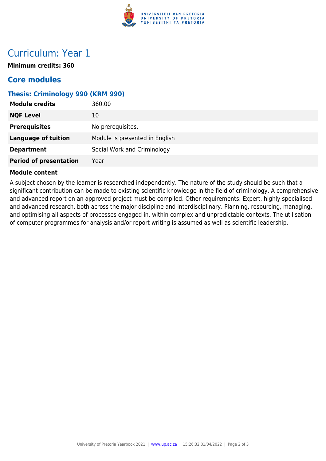

## Curriculum: Year 1

**Minimum credits: 360**

### **Core modules**

#### **Thesis: Criminology 990 (KRM 990)**

| <b>Module credits</b>         | 360.00                         |
|-------------------------------|--------------------------------|
| <b>NQF Level</b>              | 10                             |
| <b>Prerequisites</b>          | No prerequisites.              |
| <b>Language of tuition</b>    | Module is presented in English |
| <b>Department</b>             | Social Work and Criminology    |
| <b>Period of presentation</b> | Year                           |

#### **Module content**

A subject chosen by the learner is researched independently. The nature of the study should be such that a significant contribution can be made to existing scientific knowledge in the field of criminology. A comprehensive and advanced report on an approved project must be compiled. Other requirements: Expert, highly specialised and advanced research, both across the major discipline and interdisciplinary. Planning, resourcing, managing, and optimising all aspects of processes engaged in, within complex and unpredictable contexts. The utilisation of computer programmes for analysis and/or report writing is assumed as well as scientific leadership.